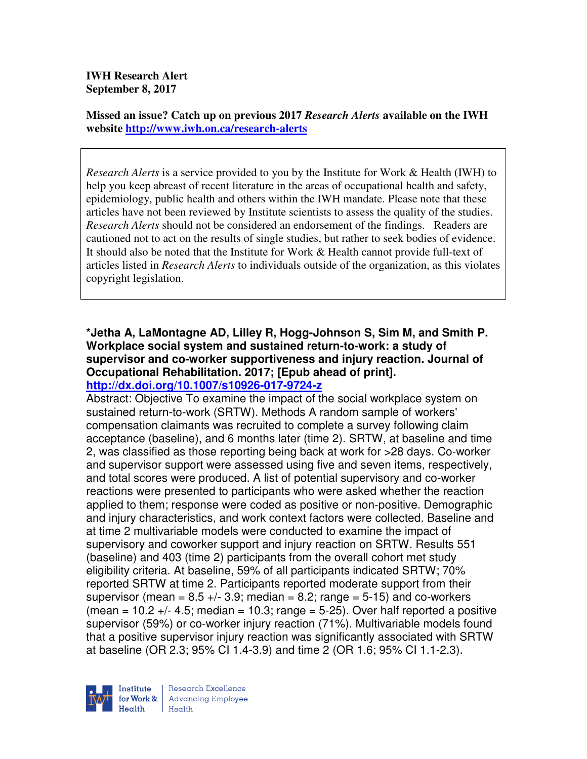**IWH Research Alert September 8, 2017** 

**Missed an issue? Catch up on previous 2017** *Research Alerts* **available on the IWH website http://www.iwh.on.ca/research-alerts**

*Research Alerts* is a service provided to you by the Institute for Work & Health (IWH) to help you keep abreast of recent literature in the areas of occupational health and safety, epidemiology, public health and others within the IWH mandate. Please note that these articles have not been reviewed by Institute scientists to assess the quality of the studies. *Research Alerts* should not be considered an endorsement of the findings. Readers are cautioned not to act on the results of single studies, but rather to seek bodies of evidence. It should also be noted that the Institute for Work & Health cannot provide full-text of articles listed in *Research Alerts* to individuals outside of the organization, as this violates copyright legislation.

#### **\*Jetha A, LaMontagne AD, Lilley R, Hogg-Johnson S, Sim M, and Smith P. Workplace social system and sustained return-to-work: a study of supervisor and co-worker supportiveness and injury reaction. Journal of Occupational Rehabilitation. 2017; [Epub ahead of print]. http://dx.doi.org/10.1007/s10926-017-9724-z**

Abstract: Objective To examine the impact of the social workplace system on sustained return-to-work (SRTW). Methods A random sample of workers' compensation claimants was recruited to complete a survey following claim acceptance (baseline), and 6 months later (time 2). SRTW, at baseline and time 2, was classified as those reporting being back at work for >28 days. Co-worker and supervisor support were assessed using five and seven items, respectively, and total scores were produced. A list of potential supervisory and co-worker reactions were presented to participants who were asked whether the reaction applied to them; response were coded as positive or non-positive. Demographic and injury characteristics, and work context factors were collected. Baseline and at time 2 multivariable models were conducted to examine the impact of supervisory and coworker support and injury reaction on SRTW. Results 551 (baseline) and 403 (time 2) participants from the overall cohort met study eligibility criteria. At baseline, 59% of all participants indicated SRTW; 70% reported SRTW at time 2. Participants reported moderate support from their supervisor (mean =  $8.5 +/- 3.9$ ; median =  $8.2$ ; range =  $5-15$ ) and co-workers (mean =  $10.2 + (-4.5)$ ; median =  $10.3$ ; range =  $5-25$ ). Over half reported a positive supervisor (59%) or co-worker injury reaction (71%). Multivariable models found that a positive supervisor injury reaction was significantly associated with SRTW at baseline (OR 2.3; 95% CI 1.4-3.9) and time 2 (OR 1.6; 95% CI 1.1-2.3).



Research Excellence **Advancing Employee** Health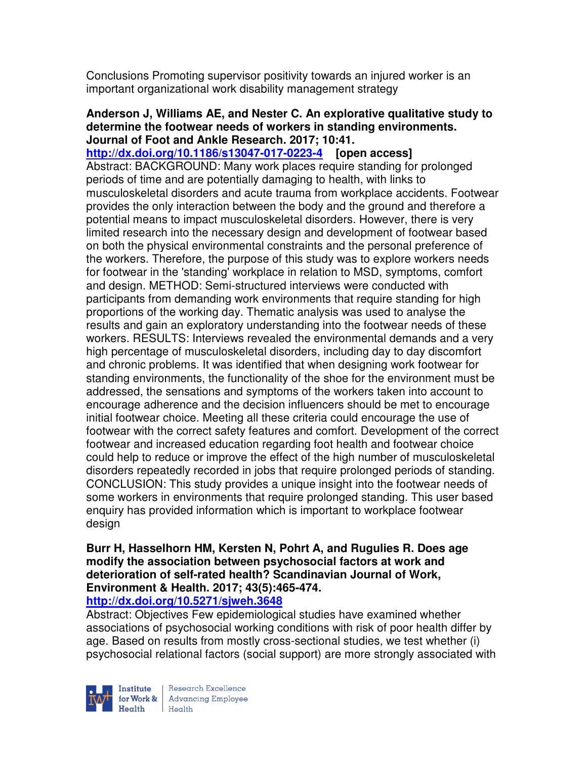Conclusions Promoting supervisor positivity towards an injured worker is an important organizational work disability management strategy

## **Anderson J, Williams AE, and Nester C. An explorative qualitative study to determine the footwear needs of workers in standing environments. Journal of Foot and Ankle Research. 2017; 10:41.**

**http://dx.doi.org/10.1186/s13047-017-0223-4 [open access]** Abstract: BACKGROUND: Many work places require standing for prolonged periods of time and are potentially damaging to health, with links to musculoskeletal disorders and acute trauma from workplace accidents. Footwear provides the only interaction between the body and the ground and therefore a potential means to impact musculoskeletal disorders. However, there is very limited research into the necessary design and development of footwear based on both the physical environmental constraints and the personal preference of the workers. Therefore, the purpose of this study was to explore workers needs for footwear in the 'standing' workplace in relation to MSD, symptoms, comfort and design. METHOD: Semi-structured interviews were conducted with participants from demanding work environments that require standing for high proportions of the working day. Thematic analysis was used to analyse the results and gain an exploratory understanding into the footwear needs of these workers. RESULTS: Interviews revealed the environmental demands and a very high percentage of musculoskeletal disorders, including day to day discomfort and chronic problems. It was identified that when designing work footwear for standing environments, the functionality of the shoe for the environment must be addressed, the sensations and symptoms of the workers taken into account to encourage adherence and the decision influencers should be met to encourage initial footwear choice. Meeting all these criteria could encourage the use of footwear with the correct safety features and comfort. Development of the correct footwear and increased education regarding foot health and footwear choice could help to reduce or improve the effect of the high number of musculoskeletal disorders repeatedly recorded in jobs that require prolonged periods of standing. CONCLUSION: This study provides a unique insight into the footwear needs of some workers in environments that require prolonged standing. This user based enquiry has provided information which is important to workplace footwear design

# **Burr H, Hasselhorn HM, Kersten N, Pohrt A, and Rugulies R. Does age modify the association between psychosocial factors at work and deterioration of self-rated health? Scandinavian Journal of Work, Environment & Health. 2017; 43(5):465-474.**

**http://dx.doi.org/10.5271/sjweh.3648** 

Abstract: Objectives Few epidemiological studies have examined whether associations of psychosocial working conditions with risk of poor health differ by age. Based on results from mostly cross-sectional studies, we test whether (i) psychosocial relational factors (social support) are more strongly associated with

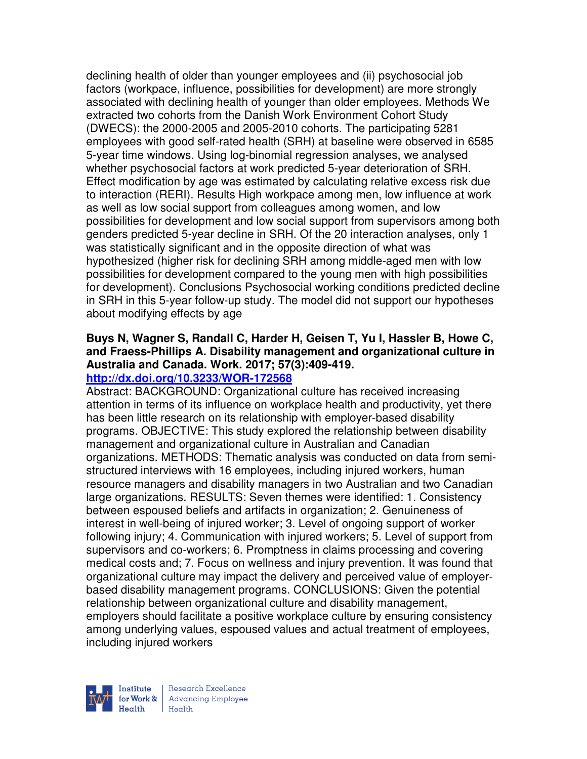declining health of older than younger employees and (ii) psychosocial job factors (workpace, influence, possibilities for development) are more strongly associated with declining health of younger than older employees. Methods We extracted two cohorts from the Danish Work Environment Cohort Study (DWECS): the 2000-2005 and 2005-2010 cohorts. The participating 5281 employees with good self-rated health (SRH) at baseline were observed in 6585 5-year time windows. Using log-binomial regression analyses, we analysed whether psychosocial factors at work predicted 5-year deterioration of SRH. Effect modification by age was estimated by calculating relative excess risk due to interaction (RERI). Results High workpace among men, low influence at work as well as low social support from colleagues among women, and low possibilities for development and low social support from supervisors among both genders predicted 5-year decline in SRH. Of the 20 interaction analyses, only 1 was statistically significant and in the opposite direction of what was hypothesized (higher risk for declining SRH among middle-aged men with low possibilities for development compared to the young men with high possibilities for development). Conclusions Psychosocial working conditions predicted decline in SRH in this 5-year follow-up study. The model did not support our hypotheses about modifying effects by age

# **Buys N, Wagner S, Randall C, Harder H, Geisen T, Yu I, Hassler B, Howe C, and Fraess-Phillips A. Disability management and organizational culture in Australia and Canada. Work. 2017; 57(3):409-419.**

## **http://dx.doi.org/10.3233/WOR-172568**

Abstract: BACKGROUND: Organizational culture has received increasing attention in terms of its influence on workplace health and productivity, yet there has been little research on its relationship with employer-based disability programs. OBJECTIVE: This study explored the relationship between disability management and organizational culture in Australian and Canadian organizations. METHODS: Thematic analysis was conducted on data from semistructured interviews with 16 employees, including injured workers, human resource managers and disability managers in two Australian and two Canadian large organizations. RESULTS: Seven themes were identified: 1. Consistency between espoused beliefs and artifacts in organization; 2. Genuineness of interest in well-being of injured worker; 3. Level of ongoing support of worker following injury; 4. Communication with injured workers; 5. Level of support from supervisors and co-workers; 6. Promptness in claims processing and covering medical costs and; 7. Focus on wellness and injury prevention. It was found that organizational culture may impact the delivery and perceived value of employerbased disability management programs. CONCLUSIONS: Given the potential relationship between organizational culture and disability management, employers should facilitate a positive workplace culture by ensuring consistency among underlying values, espoused values and actual treatment of employees, including injured workers

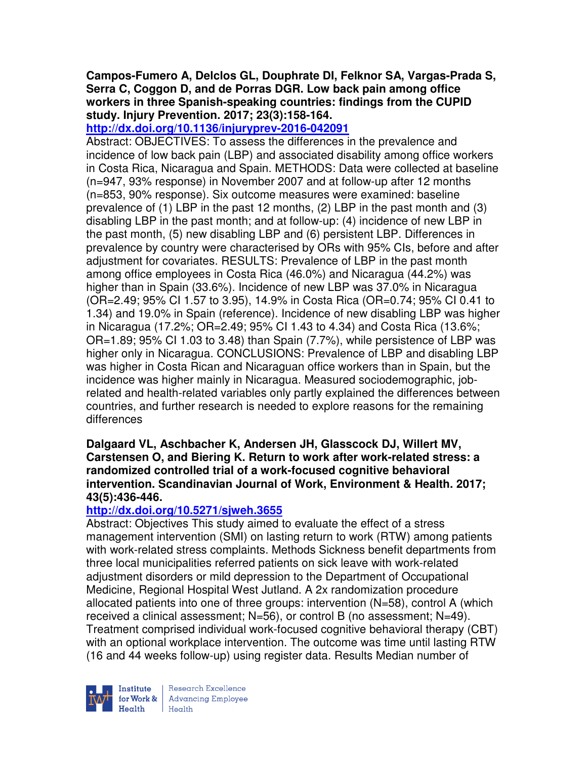## **Campos-Fumero A, Delclos GL, Douphrate DI, Felknor SA, Vargas-Prada S, Serra C, Coggon D, and de Porras DGR. Low back pain among office workers in three Spanish-speaking countries: findings from the CUPID study. Injury Prevention. 2017; 23(3):158-164.**

**http://dx.doi.org/10.1136/injuryprev-2016-042091** 

Abstract: OBJECTIVES: To assess the differences in the prevalence and incidence of low back pain (LBP) and associated disability among office workers in Costa Rica, Nicaragua and Spain. METHODS: Data were collected at baseline (n=947, 93% response) in November 2007 and at follow-up after 12 months (n=853, 90% response). Six outcome measures were examined: baseline prevalence of (1) LBP in the past 12 months, (2) LBP in the past month and (3) disabling LBP in the past month; and at follow-up: (4) incidence of new LBP in the past month, (5) new disabling LBP and (6) persistent LBP. Differences in prevalence by country were characterised by ORs with 95% CIs, before and after adjustment for covariates. RESULTS: Prevalence of LBP in the past month among office employees in Costa Rica (46.0%) and Nicaragua (44.2%) was higher than in Spain (33.6%). Incidence of new LBP was 37.0% in Nicaragua (OR=2.49; 95% CI 1.57 to 3.95), 14.9% in Costa Rica (OR=0.74; 95% CI 0.41 to 1.34) and 19.0% in Spain (reference). Incidence of new disabling LBP was higher in Nicaragua (17.2%; OR=2.49; 95% CI 1.43 to 4.34) and Costa Rica (13.6%; OR=1.89; 95% CI 1.03 to 3.48) than Spain (7.7%), while persistence of LBP was higher only in Nicaragua. CONCLUSIONS: Prevalence of LBP and disabling LBP was higher in Costa Rican and Nicaraguan office workers than in Spain, but the incidence was higher mainly in Nicaragua. Measured sociodemographic, jobrelated and health-related variables only partly explained the differences between countries, and further research is needed to explore reasons for the remaining differences

**Dalgaard VL, Aschbacher K, Andersen JH, Glasscock DJ, Willert MV, Carstensen O, and Biering K. Return to work after work-related stress: a randomized controlled trial of a work-focused cognitive behavioral intervention. Scandinavian Journal of Work, Environment & Health. 2017; 43(5):436-446.** 

#### **http://dx.doi.org/10.5271/sjweh.3655**

Abstract: Objectives This study aimed to evaluate the effect of a stress management intervention (SMI) on lasting return to work (RTW) among patients with work-related stress complaints. Methods Sickness benefit departments from three local municipalities referred patients on sick leave with work-related adjustment disorders or mild depression to the Department of Occupational Medicine, Regional Hospital West Jutland. A 2x randomization procedure allocated patients into one of three groups: intervention (N=58), control A (which received a clinical assessment; N=56), or control B (no assessment; N=49). Treatment comprised individual work-focused cognitive behavioral therapy (CBT) with an optional workplace intervention. The outcome was time until lasting RTW (16 and 44 weeks follow-up) using register data. Results Median number of

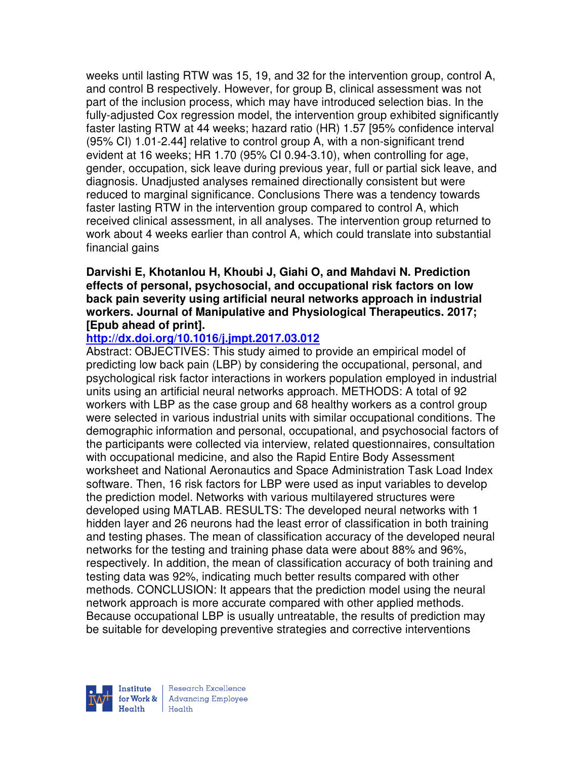weeks until lasting RTW was 15, 19, and 32 for the intervention group, control A, and control B respectively. However, for group B, clinical assessment was not part of the inclusion process, which may have introduced selection bias. In the fully-adjusted Cox regression model, the intervention group exhibited significantly faster lasting RTW at 44 weeks; hazard ratio (HR) 1.57 [95% confidence interval (95% CI) 1.01-2.44] relative to control group A, with a non-significant trend evident at 16 weeks; HR 1.70 (95% CI 0.94-3.10), when controlling for age, gender, occupation, sick leave during previous year, full or partial sick leave, and diagnosis. Unadjusted analyses remained directionally consistent but were reduced to marginal significance. Conclusions There was a tendency towards faster lasting RTW in the intervention group compared to control A, which received clinical assessment, in all analyses. The intervention group returned to work about 4 weeks earlier than control A, which could translate into substantial financial gains

#### **Darvishi E, Khotanlou H, Khoubi J, Giahi O, and Mahdavi N. Prediction effects of personal, psychosocial, and occupational risk factors on low back pain severity using artificial neural networks approach in industrial workers. Journal of Manipulative and Physiological Therapeutics. 2017; [Epub ahead of print].**

## **http://dx.doi.org/10.1016/j.jmpt.2017.03.012**

Abstract: OBJECTIVES: This study aimed to provide an empirical model of predicting low back pain (LBP) by considering the occupational, personal, and psychological risk factor interactions in workers population employed in industrial units using an artificial neural networks approach. METHODS: A total of 92 workers with LBP as the case group and 68 healthy workers as a control group were selected in various industrial units with similar occupational conditions. The demographic information and personal, occupational, and psychosocial factors of the participants were collected via interview, related questionnaires, consultation with occupational medicine, and also the Rapid Entire Body Assessment worksheet and National Aeronautics and Space Administration Task Load Index software. Then, 16 risk factors for LBP were used as input variables to develop the prediction model. Networks with various multilayered structures were developed using MATLAB. RESULTS: The developed neural networks with 1 hidden layer and 26 neurons had the least error of classification in both training and testing phases. The mean of classification accuracy of the developed neural networks for the testing and training phase data were about 88% and 96%, respectively. In addition, the mean of classification accuracy of both training and testing data was 92%, indicating much better results compared with other methods. CONCLUSION: It appears that the prediction model using the neural network approach is more accurate compared with other applied methods. Because occupational LBP is usually untreatable, the results of prediction may be suitable for developing preventive strategies and corrective interventions

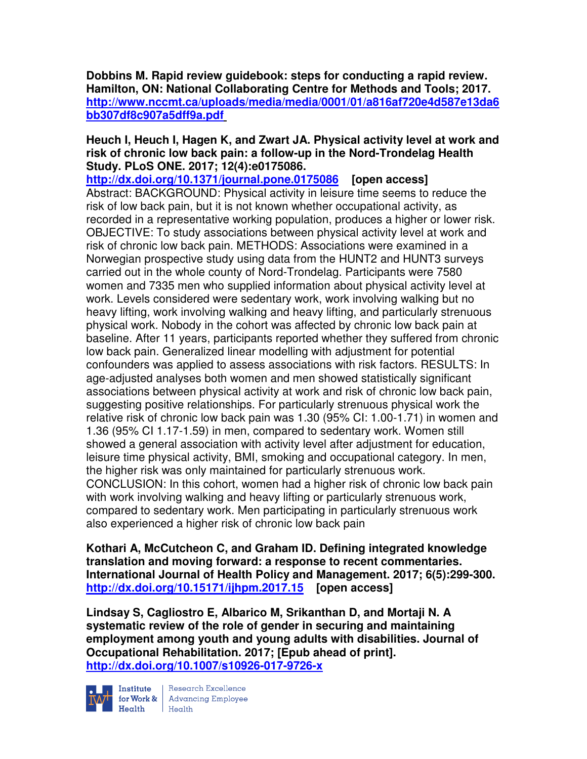**Dobbins M. Rapid review guidebook: steps for conducting a rapid review. Hamilton, ON: National Collaborating Centre for Methods and Tools; 2017. http://www.nccmt.ca/uploads/media/media/0001/01/a816af720e4d587e13da6 bb307df8c907a5dff9a.pdf** 

#### **Heuch I, Heuch I, Hagen K, and Zwart JA. Physical activity level at work and risk of chronic low back pain: a follow-up in the Nord-Trondelag Health Study. PLoS ONE. 2017; 12(4):e0175086.**

**http://dx.doi.org/10.1371/journal.pone.0175086 [open access]** Abstract: BACKGROUND: Physical activity in leisure time seems to reduce the risk of low back pain, but it is not known whether occupational activity, as recorded in a representative working population, produces a higher or lower risk. OBJECTIVE: To study associations between physical activity level at work and risk of chronic low back pain. METHODS: Associations were examined in a Norwegian prospective study using data from the HUNT2 and HUNT3 surveys carried out in the whole county of Nord-Trondelag. Participants were 7580 women and 7335 men who supplied information about physical activity level at work. Levels considered were sedentary work, work involving walking but no heavy lifting, work involving walking and heavy lifting, and particularly strenuous physical work. Nobody in the cohort was affected by chronic low back pain at baseline. After 11 years, participants reported whether they suffered from chronic low back pain. Generalized linear modelling with adjustment for potential confounders was applied to assess associations with risk factors. RESULTS: In age-adjusted analyses both women and men showed statistically significant associations between physical activity at work and risk of chronic low back pain, suggesting positive relationships. For particularly strenuous physical work the relative risk of chronic low back pain was 1.30 (95% CI: 1.00-1.71) in women and 1.36 (95% CI 1.17-1.59) in men, compared to sedentary work. Women still showed a general association with activity level after adjustment for education, leisure time physical activity, BMI, smoking and occupational category. In men, the higher risk was only maintained for particularly strenuous work. CONCLUSION: In this cohort, women had a higher risk of chronic low back pain with work involving walking and heavy lifting or particularly strenuous work, compared to sedentary work. Men participating in particularly strenuous work also experienced a higher risk of chronic low back pain

**Kothari A, McCutcheon C, and Graham ID. Defining integrated knowledge translation and moving forward: a response to recent commentaries. International Journal of Health Policy and Management. 2017; 6(5):299-300. http://dx.doi.org/10.15171/ijhpm.2017.15 [open access]** 

**Lindsay S, Cagliostro E, Albarico M, Srikanthan D, and Mortaji N. A systematic review of the role of gender in securing and maintaining employment among youth and young adults with disabilities. Journal of Occupational Rehabilitation. 2017; [Epub ahead of print]. http://dx.doi.org/10.1007/s10926-017-9726-x** 



**Institute** Research Excellence<br> **for Work &** Advancing Employee Health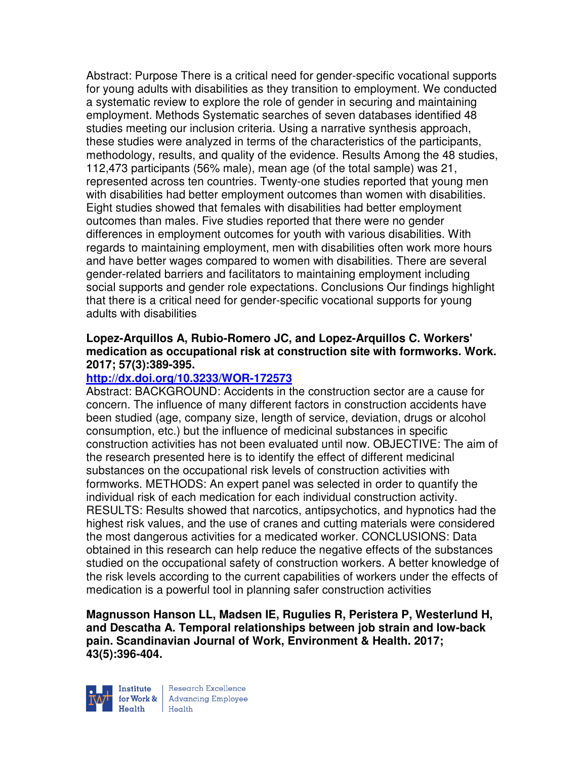Abstract: Purpose There is a critical need for gender-specific vocational supports for young adults with disabilities as they transition to employment. We conducted a systematic review to explore the role of gender in securing and maintaining employment. Methods Systematic searches of seven databases identified 48 studies meeting our inclusion criteria. Using a narrative synthesis approach, these studies were analyzed in terms of the characteristics of the participants, methodology, results, and quality of the evidence. Results Among the 48 studies, 112,473 participants (56% male), mean age (of the total sample) was 21, represented across ten countries. Twenty-one studies reported that young men with disabilities had better employment outcomes than women with disabilities. Eight studies showed that females with disabilities had better employment outcomes than males. Five studies reported that there were no gender differences in employment outcomes for youth with various disabilities. With regards to maintaining employment, men with disabilities often work more hours and have better wages compared to women with disabilities. There are several gender-related barriers and facilitators to maintaining employment including social supports and gender role expectations. Conclusions Our findings highlight that there is a critical need for gender-specific vocational supports for young adults with disabilities

#### **Lopez-Arquillos A, Rubio-Romero JC, and Lopez-Arquillos C. Workers' medication as occupational risk at construction site with formworks. Work. 2017; 57(3):389-395.**

#### **http://dx.doi.org/10.3233/WOR-172573**

Abstract: BACKGROUND: Accidents in the construction sector are a cause for concern. The influence of many different factors in construction accidents have been studied (age, company size, length of service, deviation, drugs or alcohol consumption, etc.) but the influence of medicinal substances in specific construction activities has not been evaluated until now. OBJECTIVE: The aim of the research presented here is to identify the effect of different medicinal substances on the occupational risk levels of construction activities with formworks. METHODS: An expert panel was selected in order to quantify the individual risk of each medication for each individual construction activity. RESULTS: Results showed that narcotics, antipsychotics, and hypnotics had the highest risk values, and the use of cranes and cutting materials were considered the most dangerous activities for a medicated worker. CONCLUSIONS: Data obtained in this research can help reduce the negative effects of the substances studied on the occupational safety of construction workers. A better knowledge of the risk levels according to the current capabilities of workers under the effects of medication is a powerful tool in planning safer construction activities

**Magnusson Hanson LL, Madsen IE, Rugulies R, Peristera P, Westerlund H, and Descatha A. Temporal relationships between job strain and low-back pain. Scandinavian Journal of Work, Environment & Health. 2017; 43(5):396-404.** 



Research Excellence **Exercise Employee**<br> **School Advancing Employee**  $Heath$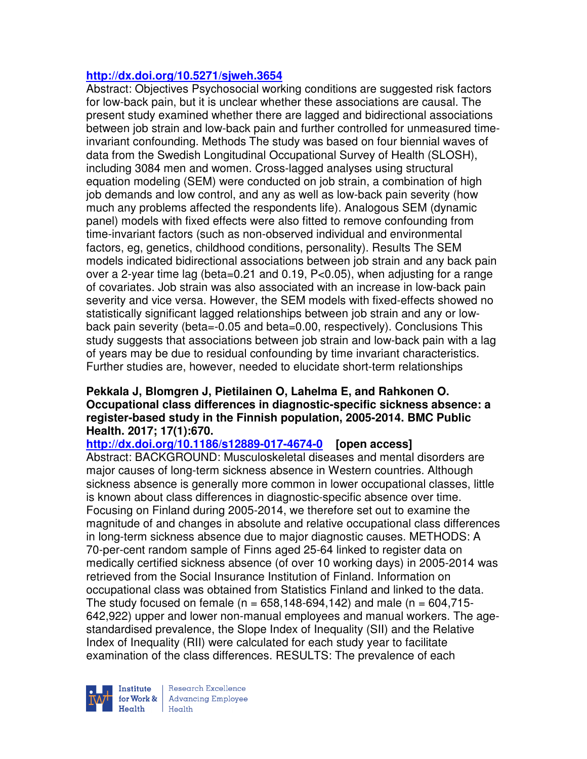## **http://dx.doi.org/10.5271/sjweh.3654**

Abstract: Objectives Psychosocial working conditions are suggested risk factors for low-back pain, but it is unclear whether these associations are causal. The present study examined whether there are lagged and bidirectional associations between job strain and low-back pain and further controlled for unmeasured timeinvariant confounding. Methods The study was based on four biennial waves of data from the Swedish Longitudinal Occupational Survey of Health (SLOSH), including 3084 men and women. Cross-lagged analyses using structural equation modeling (SEM) were conducted on job strain, a combination of high job demands and low control, and any as well as low-back pain severity (how much any problems affected the respondents life). Analogous SEM (dynamic panel) models with fixed effects were also fitted to remove confounding from time-invariant factors (such as non-observed individual and environmental factors, eg, genetics, childhood conditions, personality). Results The SEM models indicated bidirectional associations between job strain and any back pain over a 2-year time lag (beta=0.21 and 0.19, P<0.05), when adjusting for a range of covariates. Job strain was also associated with an increase in low-back pain severity and vice versa. However, the SEM models with fixed-effects showed no statistically significant lagged relationships between job strain and any or lowback pain severity (beta=-0.05 and beta=0.00, respectively). Conclusions This study suggests that associations between job strain and low-back pain with a lag of years may be due to residual confounding by time invariant characteristics. Further studies are, however, needed to elucidate short-term relationships

#### **Pekkala J, Blomgren J, Pietilainen O, Lahelma E, and Rahkonen O. Occupational class differences in diagnostic-specific sickness absence: a register-based study in the Finnish population, 2005-2014. BMC Public Health. 2017; 17(1):670.**

**http://dx.doi.org/10.1186/s12889-017-4674-0 [open access]** Abstract: BACKGROUND: Musculoskeletal diseases and mental disorders are major causes of long-term sickness absence in Western countries. Although sickness absence is generally more common in lower occupational classes, little is known about class differences in diagnostic-specific absence over time. Focusing on Finland during 2005-2014, we therefore set out to examine the magnitude of and changes in absolute and relative occupational class differences in long-term sickness absence due to major diagnostic causes. METHODS: A 70-per-cent random sample of Finns aged 25-64 linked to register data on medically certified sickness absence (of over 10 working days) in 2005-2014 was retrieved from the Social Insurance Institution of Finland. Information on occupational class was obtained from Statistics Finland and linked to the data. The study focused on female ( $n = 658,148-694,142$ ) and male ( $n = 604,715-$ 642,922) upper and lower non-manual employees and manual workers. The agestandardised prevalence, the Slope Index of Inequality (SII) and the Relative Index of Inequality (RII) were calculated for each study year to facilitate examination of the class differences. RESULTS: The prevalence of each

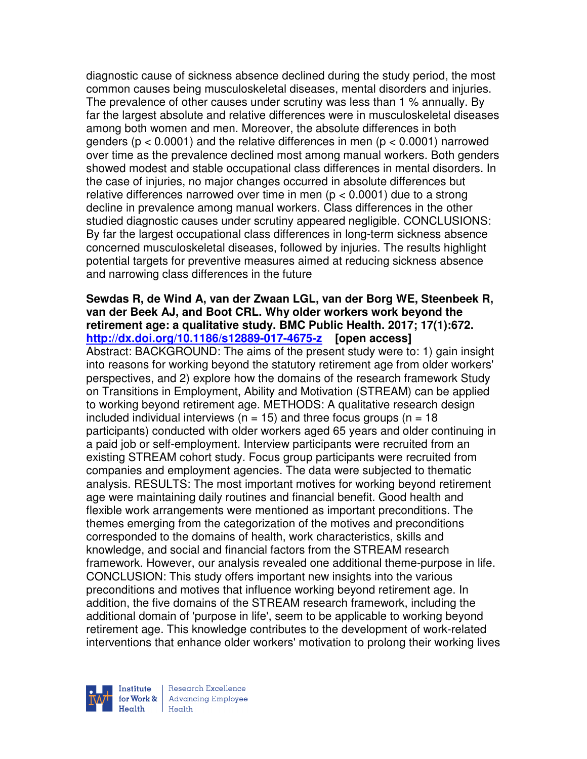diagnostic cause of sickness absence declined during the study period, the most common causes being musculoskeletal diseases, mental disorders and injuries. The prevalence of other causes under scrutiny was less than 1 % annually. By far the largest absolute and relative differences were in musculoskeletal diseases among both women and men. Moreover, the absolute differences in both genders ( $p < 0.0001$ ) and the relative differences in men ( $p < 0.0001$ ) narrowed over time as the prevalence declined most among manual workers. Both genders showed modest and stable occupational class differences in mental disorders. In the case of injuries, no major changes occurred in absolute differences but relative differences narrowed over time in men ( $p < 0.0001$ ) due to a strong decline in prevalence among manual workers. Class differences in the other studied diagnostic causes under scrutiny appeared negligible. CONCLUSIONS: By far the largest occupational class differences in long-term sickness absence concerned musculoskeletal diseases, followed by injuries. The results highlight potential targets for preventive measures aimed at reducing sickness absence and narrowing class differences in the future

#### **Sewdas R, de Wind A, van der Zwaan LGL, van der Borg WE, Steenbeek R, van der Beek AJ, and Boot CRL. Why older workers work beyond the retirement age: a qualitative study. BMC Public Health. 2017; 17(1):672. http://dx.doi.org/10.1186/s12889-017-4675-z [open access]**

Abstract: BACKGROUND: The aims of the present study were to: 1) gain insight into reasons for working beyond the statutory retirement age from older workers' perspectives, and 2) explore how the domains of the research framework Study on Transitions in Employment, Ability and Motivation (STREAM) can be applied to working beyond retirement age. METHODS: A qualitative research design included individual interviews ( $n = 15$ ) and three focus groups ( $n = 18$ ) participants) conducted with older workers aged 65 years and older continuing in a paid job or self-employment. Interview participants were recruited from an existing STREAM cohort study. Focus group participants were recruited from companies and employment agencies. The data were subjected to thematic analysis. RESULTS: The most important motives for working beyond retirement age were maintaining daily routines and financial benefit. Good health and flexible work arrangements were mentioned as important preconditions. The themes emerging from the categorization of the motives and preconditions corresponded to the domains of health, work characteristics, skills and knowledge, and social and financial factors from the STREAM research framework. However, our analysis revealed one additional theme-purpose in life. CONCLUSION: This study offers important new insights into the various preconditions and motives that influence working beyond retirement age. In addition, the five domains of the STREAM research framework, including the additional domain of 'purpose in life', seem to be applicable to working beyond retirement age. This knowledge contributes to the development of work-related interventions that enhance older workers' motivation to prolong their working lives

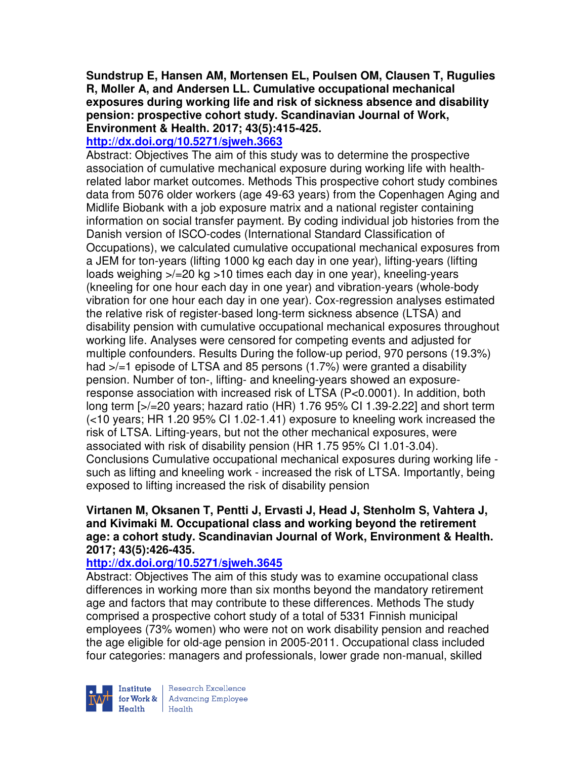**Sundstrup E, Hansen AM, Mortensen EL, Poulsen OM, Clausen T, Rugulies R, Moller A, and Andersen LL. Cumulative occupational mechanical exposures during working life and risk of sickness absence and disability pension: prospective cohort study. Scandinavian Journal of Work, Environment & Health. 2017; 43(5):415-425.** 

## **http://dx.doi.org/10.5271/sjweh.3663**

Abstract: Objectives The aim of this study was to determine the prospective association of cumulative mechanical exposure during working life with healthrelated labor market outcomes. Methods This prospective cohort study combines data from 5076 older workers (age 49-63 years) from the Copenhagen Aging and Midlife Biobank with a job exposure matrix and a national register containing information on social transfer payment. By coding individual job histories from the Danish version of ISCO-codes (International Standard Classification of Occupations), we calculated cumulative occupational mechanical exposures from a JEM for ton-years (lifting 1000 kg each day in one year), lifting-years (lifting loads weighing >/=20 kg >10 times each day in one year), kneeling-years (kneeling for one hour each day in one year) and vibration-years (whole-body vibration for one hour each day in one year). Cox-regression analyses estimated the relative risk of register-based long-term sickness absence (LTSA) and disability pension with cumulative occupational mechanical exposures throughout working life. Analyses were censored for competing events and adjusted for multiple confounders. Results During the follow-up period, 970 persons (19.3%) had  $\ge$ /=1 episode of LTSA and 85 persons (1.7%) were granted a disability pension. Number of ton-, lifting- and kneeling-years showed an exposureresponse association with increased risk of LTSA (P<0.0001). In addition, both long term [>/=20 years; hazard ratio (HR) 1.76 95% CI 1.39-2.22] and short term (<10 years; HR 1.20 95% CI 1.02-1.41) exposure to kneeling work increased the risk of LTSA. Lifting-years, but not the other mechanical exposures, were associated with risk of disability pension (HR 1.75 95% CI 1.01-3.04). Conclusions Cumulative occupational mechanical exposures during working life such as lifting and kneeling work - increased the risk of LTSA. Importantly, being exposed to lifting increased the risk of disability pension

#### **Virtanen M, Oksanen T, Pentti J, Ervasti J, Head J, Stenholm S, Vahtera J, and Kivimaki M. Occupational class and working beyond the retirement age: a cohort study. Scandinavian Journal of Work, Environment & Health. 2017; 43(5):426-435.**

## **http://dx.doi.org/10.5271/sjweh.3645**

Abstract: Objectives The aim of this study was to examine occupational class differences in working more than six months beyond the mandatory retirement age and factors that may contribute to these differences. Methods The study comprised a prospective cohort study of a total of 5331 Finnish municipal employees (73% women) who were not on work disability pension and reached the age eligible for old-age pension in 2005-2011. Occupational class included four categories: managers and professionals, lower grade non-manual, skilled

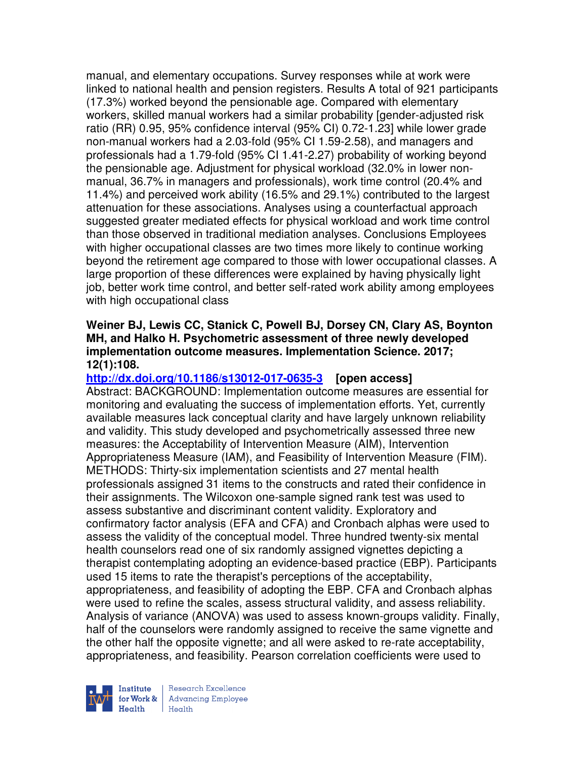manual, and elementary occupations. Survey responses while at work were linked to national health and pension registers. Results A total of 921 participants (17.3%) worked beyond the pensionable age. Compared with elementary workers, skilled manual workers had a similar probability [gender-adjusted risk ratio (RR) 0.95, 95% confidence interval (95% CI) 0.72-1.23] while lower grade non-manual workers had a 2.03-fold (95% CI 1.59-2.58), and managers and professionals had a 1.79-fold (95% CI 1.41-2.27) probability of working beyond the pensionable age. Adjustment for physical workload (32.0% in lower nonmanual, 36.7% in managers and professionals), work time control (20.4% and 11.4%) and perceived work ability (16.5% and 29.1%) contributed to the largest attenuation for these associations. Analyses using a counterfactual approach suggested greater mediated effects for physical workload and work time control than those observed in traditional mediation analyses. Conclusions Employees with higher occupational classes are two times more likely to continue working beyond the retirement age compared to those with lower occupational classes. A large proportion of these differences were explained by having physically light job, better work time control, and better self-rated work ability among employees with high occupational class

#### **Weiner BJ, Lewis CC, Stanick C, Powell BJ, Dorsey CN, Clary AS, Boynton MH, and Halko H. Psychometric assessment of three newly developed implementation outcome measures. Implementation Science. 2017; 12(1):108.**

**http://dx.doi.org/10.1186/s13012-017-0635-3 [open access]** Abstract: BACKGROUND: Implementation outcome measures are essential for monitoring and evaluating the success of implementation efforts. Yet, currently available measures lack conceptual clarity and have largely unknown reliability and validity. This study developed and psychometrically assessed three new measures: the Acceptability of Intervention Measure (AIM), Intervention Appropriateness Measure (IAM), and Feasibility of Intervention Measure (FIM). METHODS: Thirty-six implementation scientists and 27 mental health professionals assigned 31 items to the constructs and rated their confidence in their assignments. The Wilcoxon one-sample signed rank test was used to assess substantive and discriminant content validity. Exploratory and confirmatory factor analysis (EFA and CFA) and Cronbach alphas were used to assess the validity of the conceptual model. Three hundred twenty-six mental health counselors read one of six randomly assigned vignettes depicting a therapist contemplating adopting an evidence-based practice (EBP). Participants used 15 items to rate the therapist's perceptions of the acceptability, appropriateness, and feasibility of adopting the EBP. CFA and Cronbach alphas were used to refine the scales, assess structural validity, and assess reliability. Analysis of variance (ANOVA) was used to assess known-groups validity. Finally, half of the counselors were randomly assigned to receive the same vignette and the other half the opposite vignette; and all were asked to re-rate acceptability, appropriateness, and feasibility. Pearson correlation coefficients were used to